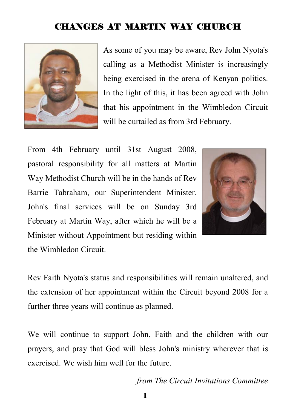#### CHANGES AT MARTIN WAY CHURCH



As some of you may be aware, Rev John Nyota's calling as a Methodist Minister is increasingly being exercised in the arena of Kenyan politics. In the light of this, it has been agreed with John that his appointment in the Wimbledon Circuit will be curtailed as from 3rd February.

From 4th February until 31st August 2008, pastoral responsibility for all matters at Martin Way Methodist Church will be in the hands of Rev Barrie Tabraham, our Superintendent Minister. John's final services will be on Sunday 3rd February at Martin Way, after which he will be a Minister without Appointment but residing within the Wimbledon Circuit.



Rev Faith Nyota's status and responsibilities will remain unaltered, and the extension of her appointment within the Circuit beyond 2008 for a further three years will continue as planned.

We will continue to support John, Faith and the children with our prayers, and pray that God will bless John's ministry wherever that is exercised. We wish him well for the future.

*from The Circuit Invitations Committee*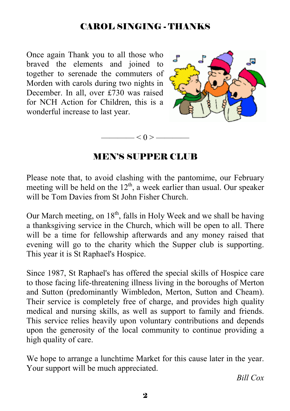#### CAROL SINGING - THANKS

Once again Thank you to all those who braved the elements and joined to together to serenade the commuters of Morden with carols during two nights in December. In all, over £730 was raised for NCH Action for Children, this is a wonderful increase to last year.



#### MEN'S SUPPER CLUB

 $-$  < 0 >  $-$ 

Please note that, to avoid clashing with the pantomime, our February meeting will be held on the  $12<sup>th</sup>$ , a week earlier than usual. Our speaker will be Tom Davies from St John Fisher Church.

Our March meeting, on  $18<sup>th</sup>$ , falls in Holy Week and we shall be having a thanksgiving service in the Church, which will be open to all. There will be a time for fellowship afterwards and any money raised that evening will go to the charity which the Supper club is supporting. This year it is St Raphael's Hospice.

Since 1987, St Raphael's has offered the special skills of Hospice care to those facing life-threatening illness living in the boroughs of Merton and Sutton (predominantly Wimbledon, Merton, Sutton and Cheam). Their service is completely free of charge, and provides high quality medical and nursing skills, as well as support to family and friends. This service relies heavily upon voluntary contributions and depends upon the generosity of the local community to continue providing a high quality of care.

We hope to arrange a lunchtime Market for this cause later in the year. Your support will be much appreciated.

*Bill Cox*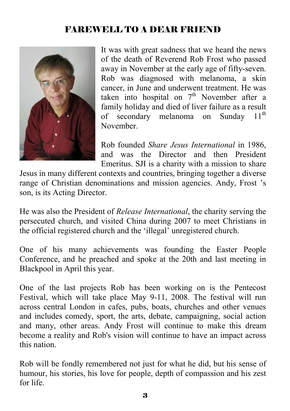## FAREWELL TO A DEAR FRIEND



It was with great sadness that we heard the news of the death of Reverend Rob Frost who passed away in November at the early age of fifty-seven. Rob was diagnosed with melanoma, a skin cancer, in June and underwent treatment. He was taken into hospital on  $7<sup>th</sup>$  November after a family holiday and died of liver failure as a result of secondary melanoma on Sunday 11<sup>th</sup> November.

Rob founded *Share Jesus International* in 1986, and was the Director and then President Emeritus. SJI is a charity with a mission to share

Jesus in many different contexts and countries, bringing together a diverse range of Christian denominations and mission agencies. Andy, Frost 's son, is its Acting Director.

He was also the President of *Release International*, the charity serving the persecuted church, and visited China during 2007 to meet Christians in the official registered church and the 'illegal' unregistered church.

One of his many achievements was founding the Easter People Conference, and he preached and spoke at the 20th and last meeting in Blackpool in April this year.

One of the last projects Rob has been working on is the Pentecost Festival, which will take place May 9-11, 2008. The festival will run across central London in cafes, pubs, boats, churches and other venues and includes comedy, sport, the arts, debate, campaigning, social action and many, other areas. Andy Frost will continue to make this dream become a reality and Rob's vision will continue to have an impact across this nation.

Rob will be fondly remembered not just for what he did, but his sense of humour, his stories, his love for people, depth of compassion and his zest for life.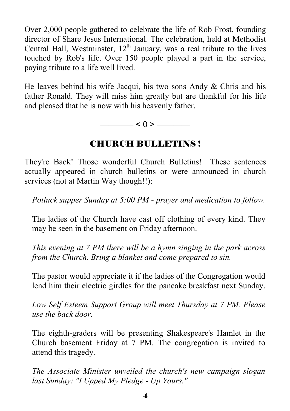Over 2,000 people gathered to celebrate the life of Rob Frost, founding director of Share Jesus International. The celebration, held at Methodist Central Hall, Westminster,  $12<sup>th</sup>$  January, was a real tribute to the lives touched by Rob's life. Over 150 people played a part in the service, paying tribute to a life well lived.

He leaves behind his wife Jacqui, his two sons Andy & Chris and his father Ronald. They will miss him greatly but are thankful for his life and pleased that he is now with his heavenly father.

 $-$  < 0 >  $-$ 

## CHURCH BULLETINS !

They're Back! Those wonderful Church Bulletins! These sentences actually appeared in church bulletins or were announced in church services (not at Martin Way though!!):

*Potluck supper Sunday at 5:00 PM - prayer and medication to follow.*

The ladies of the Church have cast off clothing of every kind. They may be seen in the basement on Friday afternoon.

*This evening at 7 PM there will be a hymn singing in the park across from the Church. Bring a blanket and come prepared to sin.*

The pastor would appreciate it if the ladies of the Congregation would lend him their electric girdles for the pancake breakfast next Sunday.

*Low Self Esteem Support Group will meet Thursday at 7 PM. Please use the back door.*

The eighth-graders will be presenting Shakespeare's Hamlet in the Church basement Friday at 7 PM. The congregation is invited to attend this tragedy.

*The Associate Minister unveiled the church's new campaign slogan last Sunday: "I Upped My Pledge - Up Yours."*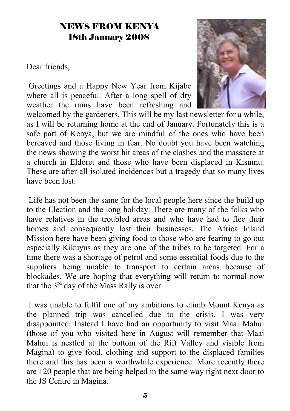#### NEWS FROM KENYA 18th January 2008

Dear friends,

 Greetings and a Happy New Year from Kijabe where all is peaceful. After a long spell of dry weather the rains have been refreshing and



welcomed by the gardeners. This will be my last newsletter for a while, as I will be returning home at the end of January. Fortunately this is a safe part of Kenya, but we are mindful of the ones who have been bereaved and those living in fear. No doubt you have been watching the news showing the worst hit areas of the clashes and the massacre at a church in Eldoret and those who have been displaced in Kisumu. These are after all isolated incidences but a tragedy that so many lives have been lost.

 Life has not been the same for the local people here since the build up to the Election and the long holiday. There are many of the folks who have relatives in the troubled areas and who have had to flee their homes and consequently lost their businesses. The Africa Inland Mission here have been giving food to those who are fearing to go out especially Kikuyus as they are one of the tribes to be targeted. For a time there was a shortage of petrol and some essential foods due to the suppliers being unable to transport to certain areas because of blockades. We are hoping that everything will return to normal now that the  $3<sup>rd</sup>$  day of the Mass Rally is over.

 I was unable to fulfil one of my ambitions to climb Mount Kenya as the planned trip was cancelled due to the crisis. I was very disappointed. Instead I have had an opportunity to visit Maai Mahui (those of you who visited here in August will remember that Maai Mahui is nestled at the bottom of the Rift Valley and visible from Magina) to give food, clothing and support to the displaced families there and this has been a worthwhile experience. More recently there are 120 people that are being helped in the same way right next door to the JS Centre in Magina.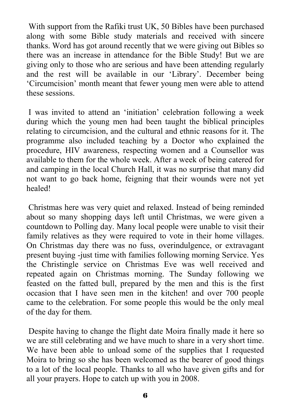With support from the Rafiki trust UK, 50 Bibles have been purchased along with some Bible study materials and received with sincere thanks. Word has got around recently that we were giving out Bibles so there was an increase in attendance for the Bible Study! But we are giving only to those who are serious and have been attending regularly and the rest will be available in our 'Library'. December being 'Circumcision' month meant that fewer young men were able to attend these sessions.

 I was invited to attend an 'initiation' celebration following a week during which the young men had been taught the biblical principles relating to circumcision, and the cultural and ethnic reasons for it. The programme also included teaching by a Doctor who explained the procedure, HIV awareness, respecting women and a Counsellor was available to them for the whole week. After a week of being catered for and camping in the local Church Hall, it was no surprise that many did not want to go back home, feigning that their wounds were not yet healed!

 Christmas here was very quiet and relaxed. Instead of being reminded about so many shopping days left until Christmas, we were given a countdown to Polling day. Many local people were unable to visit their family relatives as they were required to vote in their home villages. On Christmas day there was no fuss, overindulgence, or extravagant present buying -just time with families following morning Service. Yes the Christingle service on Christmas Eve was well received and repeated again on Christmas morning. The Sunday following we feasted on the fatted bull, prepared by the men and this is the first occasion that I have seen men in the kitchen! and over 700 people came to the celebration. For some people this would be the only meal of the day for them.

 Despite having to change the flight date Moira finally made it here so we are still celebrating and we have much to share in a very short time. We have been able to unload some of the supplies that I requested Moira to bring so she has been welcomed as the bearer of good things to a lot of the local people. Thanks to all who have given gifts and for all your prayers. Hope to catch up with you in 2008.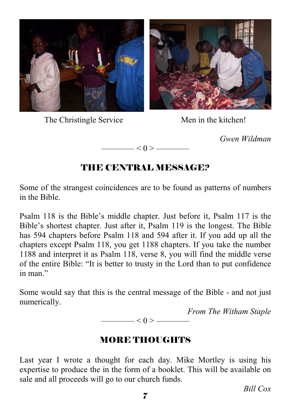

The Christingle Service Men in the kitchen!



*Gwen Wildman* 



# THE CENTRAL MESSAGE?

Some of the strangest coincidences are to be found as patterns of numbers in the Bible.

Psalm 118 is the Bible's middle chapter. Just before it, Psalm 117 is the Bible's shortest chapter. Just after it, Psalm 119 is the longest. The Bible has 594 chapters before Psalm 118 and 594 after it. If you add up all the chapters except Psalm 118, you get 1188 chapters. If you take the number 1188 and interpret it as Psalm 118, verse 8, you will find the middle verse of the entire Bible: "It is better to trusty in the Lord than to put confidence in man"

Some would say that this is the central message of the Bible - and not just numerically.

*From The Witham Staple* 

 $-$  < 0 >  $-$ 

# MORE THOUGHTS

Last year I wrote a thought for each day. Mike Mortley is using his expertise to produce the in the form of a booklet. This will be available on sale and all proceeds will go to our church funds.

*Bill Cox*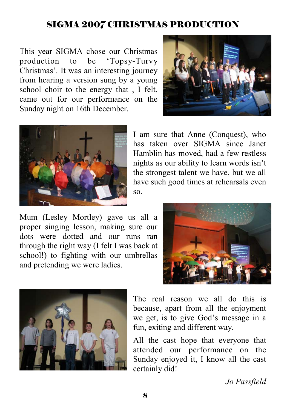#### SIGMA 2007 CHRISTMAS PRODUCTION

This year SIGMA chose our Christmas production to be 'Topsy-Turvy Christmas'. It was an interesting journey from hearing a version sung by a young school choir to the energy that , I felt, came out for our performance on the Sunday night on 16th December.





I am sure that Anne (Conquest), who has taken over SIGMA since Janet Hamblin has moved, had a few restless nights as our ability to learn words isn't the strongest talent we have, but we all have such good times at rehearsals even so.

Mum (Lesley Mortley) gave us all a proper singing lesson, making sure our dots were dotted and our runs ran through the right way (I felt I was back at school!) to fighting with our umbrellas and pretending we were ladies.





The real reason we all do this is because, apart from all the enjoyment we get, is to give God's message in a fun, exiting and different way.

All the cast hope that everyone that attended our performance on the Sunday enjoyed it, I know all the cast certainly did!

*Jo Passfield*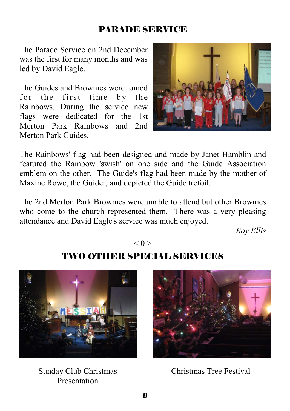## PARADE SERVICE

The Parade Service on 2nd December was the first for many months and was led by David Eagle.

The Guides and Brownies were joined for the first time by the Rainbows. During the service new flags were dedicated for the 1st Merton Park Rainbows and 2nd Merton Park Guides.



The Rainbows' flag had been designed and made by Janet Hamblin and featured the Rainbow 'swish' on one side and the Guide Association emblem on the other. The Guide's flag had been made by the mother of Maxine Rowe, the Guider, and depicted the Guide trefoil.

The 2nd Merton Park Brownies were unable to attend but other Brownies who come to the church represented them. There was a very pleasing attendance and David Eagle's service was much enjoyed.

*Roy Ellis* 

$$
\overbrace{\hspace{1.5cm}}<0>\overbrace{\hspace{1.5cm}}
$$

TWO OTHER SPECIAL SERVICES

Sunday Club Christmas Presentation



Christmas Tree Festival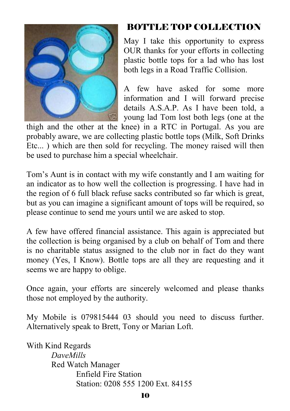

## BOTTLE TOP COLLECTION

May I take this opportunity to express OUR thanks for your efforts in collecting plastic bottle tops for a lad who has lost both legs in a Road Traffic Collision.

A few have asked for some more information and I will forward precise details A.S.A.P. As I have been told, a young lad Tom lost both legs (one at the

thigh and the other at the knee) in a RTC in Portugal. As you are probably aware, we are collecting plastic bottle tops (Milk, Soft Drinks Etc... ) which are then sold for recycling. The money raised will then be used to purchase him a special wheelchair.

Tom's Aunt is in contact with my wife constantly and I am waiting for an indicator as to how well the collection is progressing. I have had in the region of 6 full black refuse sacks contributed so far which is great, but as you can imagine a significant amount of tops will be required, so please continue to send me yours until we are asked to stop.

A few have offered financial assistance. This again is appreciated but the collection is being organised by a club on behalf of Tom and there is no charitable status assigned to the club nor in fact do they want money (Yes, I Know). Bottle tops are all they are requesting and it seems we are happy to oblige.

Once again, your efforts are sincerely welcomed and please thanks those not employed by the authority.

My Mobile is 079815444 03 should you need to discuss further. Alternatively speak to Brett, Tony or Marian Loft.

With Kind Regards  *DaveMills*  Red Watch Manager Enfield Fire Station Station: 0208 555 1200 Ext. 84155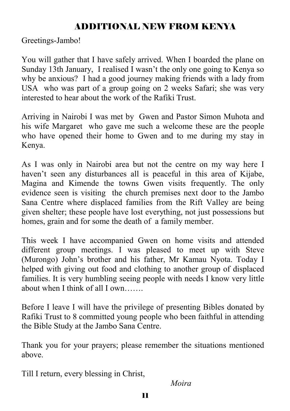#### ADDITIONAL NEW FROM KENYA

Greetings-Jambo!

You will gather that I have safely arrived. When I boarded the plane on Sunday 13th January, I realised I wasn't the only one going to Kenya so why be anxious? I had a good journey making friends with a lady from USA who was part of a group going on 2 weeks Safari; she was very interested to hear about the work of the Rafiki Trust.

Arriving in Nairobi I was met by Gwen and Pastor Simon Muhota and his wife Margaret who gave me such a welcome these are the people who have opened their home to Gwen and to me during my stay in Kenya.

As I was only in Nairobi area but not the centre on my way here I haven't seen any disturbances all is peaceful in this area of Kijabe, Magina and Kimende the towns Gwen visits frequently. The only evidence seen is visiting the church premises next door to the Jambo Sana Centre where displaced families from the Rift Valley are being given shelter; these people have lost everything, not just possessions but homes, grain and for some the death of a family member.

This week I have accompanied Gwen on home visits and attended different group meetings. I was pleased to meet up with Steve (Murongo) John's brother and his father, Mr Kamau Nyota. Today I helped with giving out food and clothing to another group of displaced families. It is very humbling seeing people with needs I know very little about when I think of all I own…….

Before I leave I will have the privilege of presenting Bibles donated by Rafiki Trust to 8 committed young people who been faithful in attending the Bible Study at the Jambo Sana Centre.

Thank you for your prayers; please remember the situations mentioned above.

Till I return, every blessing in Christ,

*Moira*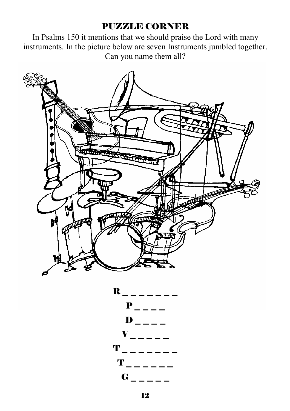#### PUZZLE CORNER

In Psalms 150 it mentions that we should praise the Lord with many instruments. In the picture below are seven Instruments jumbled together. Can you name them all?



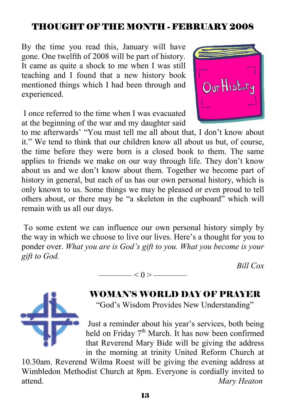#### THOUGHT OF THE MONTH - FEBRUARY 2008

By the time you read this, January will have gone. One twelfth of 2008 will be part of history. It came as quite a shock to me when I was still teaching and I found that a new history book mentioned things which I had been through and experienced.

 I once referred to the time when I was evacuated at the beginning of the war and my daughter said



 To some extent we can influence our own personal history simply by the way in which we choose to live our lives. Here's a thought for you to ponder over. *What you are is God's gift to you. What you become is your gift to God.*

 $-$  < () >  $-$ 

*Bill Cox* 



WOMAN'S WORLD DAY OF PRAYER

"God's Wisdom Provides New Understanding"

 Just a reminder about his year's services, both being held on Friday  $7<sup>th</sup>$  March. It has now been confirmed that Reverend Mary Bide will be giving the address in the morning at trinity United Reform Church at

10.30am. Reverend Wilma Roest will be giving the evening address at Wimbledon Methodist Church at 8pm. Everyone is cordially invited to attend. *Mary Heaton* 

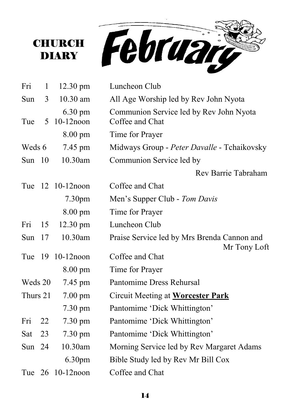



| Fri      | $\mathbf{1}$ | $12.30 \text{ pm}$                | Luncheon Club                                               |
|----------|--------------|-----------------------------------|-------------------------------------------------------------|
| Sun      | 3            | $10.30$ am                        | All Age Worship led by Rev John Nyota                       |
| Tue      | 5            | $6.30 \text{ pm}$<br>$10-12$ noon | Communion Service led by Rev John Nyota<br>Coffee and Chat  |
|          |              | $8.00 \text{ pm}$                 | Time for Prayer                                             |
| Weds 6   |              | 7.45 pm                           | Midways Group - Peter Davalle - Tchaikovsky                 |
| Sun 10   |              | 10.30am                           | Communion Service led by                                    |
|          |              |                                   | Rev Barrie Tabraham                                         |
|          |              | Tue 12 10-12 noon                 | Coffee and Chat                                             |
|          |              | 7.30 <sub>pm</sub>                | Men's Supper Club - Tom Davis                               |
|          |              | $8.00 \text{ pm}$                 | Time for Prayer                                             |
| Fri      | 15           | $12.30 \text{ pm}$                | Luncheon Club                                               |
| Sun      | 17           | 10.30am                           | Praise Service led by Mrs Brenda Cannon and<br>Mr Tony Loft |
|          |              | Tue 19 10-12 noon                 | Coffee and Chat                                             |
|          |              | $8.00 \text{ pm}$                 | Time for Prayer                                             |
| Weds 20  |              | 7.45 pm                           | Pantomime Dress Rehursal                                    |
| Thurs 21 |              | 7.00 pm                           | Circuit Meeting at Worcester Park                           |
|          |              | $7.30 \text{ pm}$                 | Pantomime 'Dick Whittington'                                |
| Fri      | 22           | $7.30 \text{ pm}$                 | Pantomime 'Dick Whittington'                                |
| Sat      | 23           | 7.30 pm                           | Pantomime 'Dick Whittington'                                |
| Sun 24   |              | 10.30am                           | Morning Service led by Rev Margaret Adams                   |
|          |              | 6.30 <sub>pm</sub>                | Bible Study led by Rev Mr Bill Cox                          |
|          |              | Tue 26 10-12 noon                 | Coffee and Chat                                             |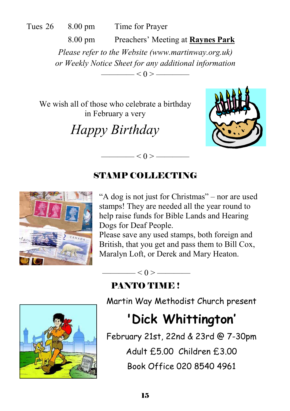Tues 26 8.00 pm Time for Prayer

 8.00 pm Preachers' Meeting at **Raynes Park** *Please refer to the Website (www.martinway.org.uk) or Weekly Notice Sheet for any additional information*   $< 0 >$  ——

We wish all of those who celebrate a birthday in February a very

*Happy Birthday* 



# STAMP COLLECTING

 $\qquad$   $\leq$  0  $>$   $\qquad$ 



"A dog is not just for Christmas" – nor are used stamps! They are needed all the year round to help raise funds for Bible Lands and Hearing Dogs for Deaf People.

Please save any used stamps, both foreign and British, that you get and pass them to Bill Cox, Maralyn Loft, or Derek and Mary Heaton.



PANTO TIME!

 $\leq 0$  >  $\leq$ 

Martin Way Methodist Church present

# **'Dick Whittington'**

February 21st, 22nd & 23rd @ 7-30pm

Adult £5.00 Children £3.00

Book Office 020 8540 4961